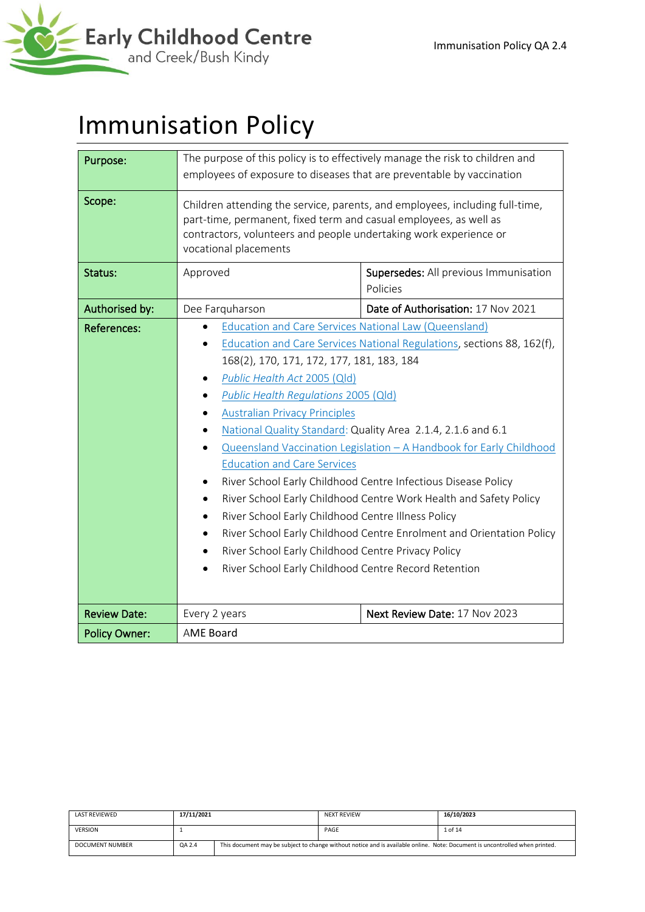

# Immunisation Policy

| Purpose:             | The purpose of this policy is to effectively manage the risk to children and<br>employees of exposure to diseases that are preventable by vaccination                                                                                                                                                                                                                                                                                               |                                                                                                                                                                                                                                                                                                                                                                                                                             |  |  |
|----------------------|-----------------------------------------------------------------------------------------------------------------------------------------------------------------------------------------------------------------------------------------------------------------------------------------------------------------------------------------------------------------------------------------------------------------------------------------------------|-----------------------------------------------------------------------------------------------------------------------------------------------------------------------------------------------------------------------------------------------------------------------------------------------------------------------------------------------------------------------------------------------------------------------------|--|--|
| Scope:               | Children attending the service, parents, and employees, including full-time,<br>part-time, permanent, fixed term and casual employees, as well as<br>contractors, volunteers and people undertaking work experience or<br>vocational placements                                                                                                                                                                                                     |                                                                                                                                                                                                                                                                                                                                                                                                                             |  |  |
| Status:              | Approved                                                                                                                                                                                                                                                                                                                                                                                                                                            | Supersedes: All previous Immunisation<br>Policies                                                                                                                                                                                                                                                                                                                                                                           |  |  |
| Authorised by:       | Dee Farquharson                                                                                                                                                                                                                                                                                                                                                                                                                                     | Date of Authorisation: 17 Nov 2021                                                                                                                                                                                                                                                                                                                                                                                          |  |  |
| <b>References:</b>   | Education and Care Services National Law (Queensland)<br>168(2), 170, 171, 172, 177, 181, 183, 184<br>Public Health Act 2005 (Qld)<br>Public Health Regulations 2005 (Qld)<br><b>Australian Privacy Principles</b><br><b>Education and Care Services</b><br>٠<br>٠<br>River School Early Childhood Centre Illness Policy<br>$\bullet$<br>River School Early Childhood Centre Privacy Policy<br>River School Early Childhood Centre Record Retention | Education and Care Services National Regulations, sections 88, 162(f),<br>National Quality Standard: Quality Area 2.1.4, 2.1.6 and 6.1<br>Queensland Vaccination Legislation - A Handbook for Early Childhood<br>River School Early Childhood Centre Infectious Disease Policy<br>River School Early Childhood Centre Work Health and Safety Policy<br>River School Early Childhood Centre Enrolment and Orientation Policy |  |  |
| <b>Review Date:</b>  | Every 2 years                                                                                                                                                                                                                                                                                                                                                                                                                                       | Next Review Date: 17 Nov 2023                                                                                                                                                                                                                                                                                                                                                                                               |  |  |
| <b>Policy Owner:</b> | <b>AME Board</b>                                                                                                                                                                                                                                                                                                                                                                                                                                    |                                                                                                                                                                                                                                                                                                                                                                                                                             |  |  |

| <b>LAST REVIEWED</b> | 17/11/2021 |  | <b>NEXT REVIEW</b>                                                                                                          | 16/10/2023 |
|----------------------|------------|--|-----------------------------------------------------------------------------------------------------------------------------|------------|
| <b>VERSION</b>       |            |  | PAGE                                                                                                                        | 1 of 14    |
| DOCUMENT NUMBER      | QA 2.4     |  | This document may be subject to change without notice and is available online. Note: Document is uncontrolled when printed. |            |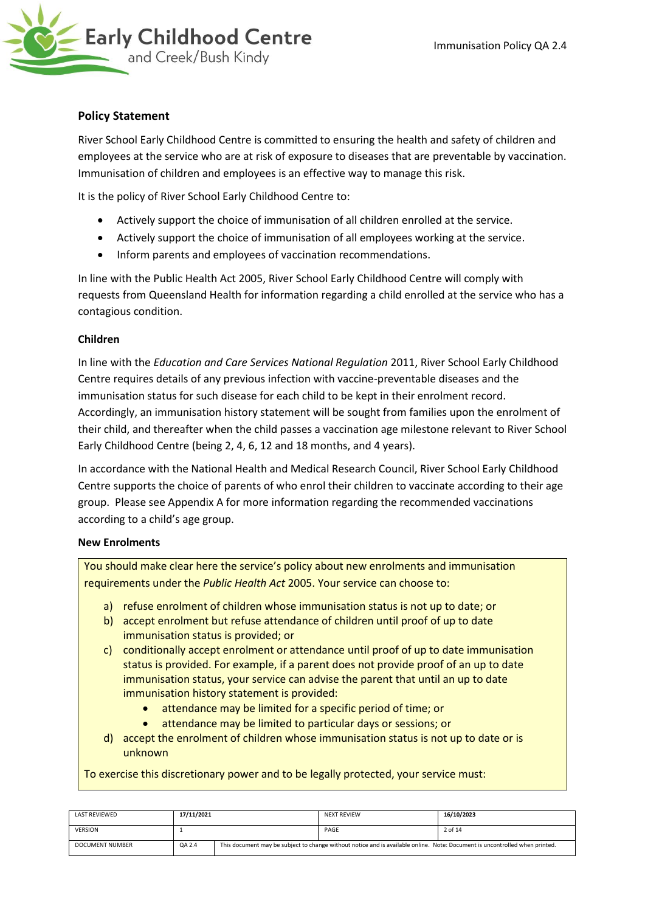

### **Policy Statement**

River School Early Childhood Centre is committed to ensuring the health and safety of children and employees at the service who are at risk of exposure to diseases that are preventable by vaccination. Immunisation of children and employees is an effective way to manage this risk.

It is the policy of River School Early Childhood Centre to:

- Actively support the choice of immunisation of all children enrolled at the service.
- Actively support the choice of immunisation of all employees working at the service.
- Inform parents and employees of vaccination recommendations.

In line with the Public Health Act 2005, River School Early Childhood Centre will comply with requests from Queensland Health for information regarding a child enrolled at the service who has a contagious condition.

#### **Children**

In line with the *Education and Care Services National Regulation* 2011, River School Early Childhood Centre requires details of any previous infection with vaccine-preventable diseases and the immunisation status for such disease for each child to be kept in their enrolment record. Accordingly, an immunisation history statement will be sought from families upon the enrolment of their child, and thereafter when the child passes a vaccination age milestone relevant to River School Early Childhood Centre (being 2, 4, 6, 12 and 18 months, and 4 years).

In accordance with the National Health and Medical Research Council, River School Early Childhood Centre supports the choice of parents of who enrol their children to vaccinate according to their age group. Please see Appendix A for more information regarding the recommended vaccinations according to a child's age group.

#### **New Enrolments**

You should make clear here the service's policy about new enrolments and immunisation requirements under the *Public Health Act* 2005. Your service can choose to:

- a) refuse enrolment of children whose immunisation status is not up to date; or
- b) accept enrolment but refuse attendance of children until proof of up to date immunisation status is provided; or
- c) conditionally accept enrolment or attendance until proof of up to date immunisation status is provided. For example, if a parent does not provide proof of an up to date immunisation status, your service can advise the parent that until an up to date immunisation history statement is provided:
	- attendance may be limited for a specific period of time; or
	- attendance may be limited to particular days or sessions; or
- d) accept the enrolment of children whose immunisation status is not up to date or is unknown

To exercise this discretionary power and to be legally protected, your service must:

| <b>LAST REVIEWED</b>   | 17/11/2021 |  | <b>NEXT REVIEW</b>                                                                                                          | 16/10/2023 |
|------------------------|------------|--|-----------------------------------------------------------------------------------------------------------------------------|------------|
| <b>VERSION</b>         |            |  | PAGE                                                                                                                        | 2 of 14    |
| <b>DOCUMENT NUMBER</b> | QA 2.4     |  | This document may be subject to change without notice and is available online. Note: Document is uncontrolled when printed. |            |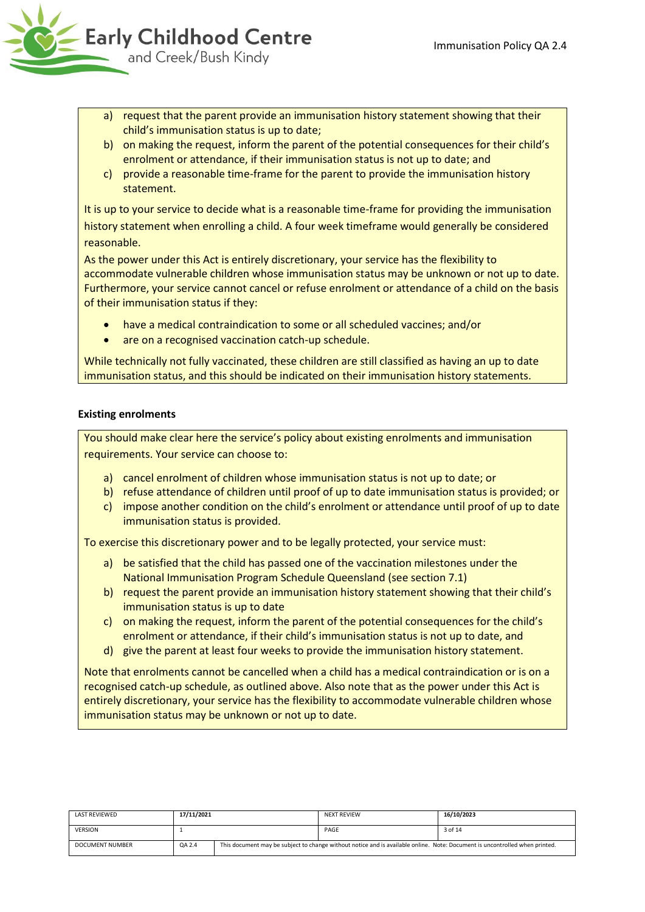

- a) request that the parent provide an immunisation history statement showing that their child's immunisation status is up to date;
- b) on making the request, inform the parent of the potential consequences for their child's enrolment or attendance, if their immunisation status is not up to date; and
- c) provide a reasonable time-frame for the parent to provide the immunisation history statement.

It is up to your service to decide what is a reasonable time-frame for providing the immunisation history statement when enrolling a child. A four week timeframe would generally be considered reasonable.

As the power under this Act is entirely discretionary, your service has the flexibility to accommodate vulnerable children whose immunisation status may be unknown or not up to date. Furthermore, your service cannot cancel or refuse enrolment or attendance of a child on the basis of their immunisation status if they:

- have a medical contraindication to some or all scheduled vaccines; and/or
- are on a recognised vaccination catch-up schedule.

While technically not fully vaccinated, these children are still classified as having an up to date immunisation status, and this should be indicated on their immunisation history statements.

# **Existing enrolments**

You should make clear here the service's policy about existing enrolments and immunisation requirements. Your service can choose to:

- a) cancel enrolment of children whose immunisation status is not up to date; or
- b) refuse attendance of children until proof of up to date immunisation status is provided; or
- c) impose another condition on the child's enrolment or attendance until proof of up to date immunisation status is provided.

To exercise this discretionary power and to be legally protected, your service must:

- a) be satisfied that the child has passed one of the vaccination milestones under the National Immunisation Program Schedule Queensland (see section 7.1)
- b) request the parent provide an immunisation history statement showing that their child's immunisation status is up to date
- c) on making the request, inform the parent of the potential consequences for the child's enrolment or attendance, if their child's immunisation status is not up to date, and
- d) give the parent at least four weeks to provide the immunisation history statement.

Note that enrolments cannot be cancelled when a child has a medical contraindication or is on a recognised catch-up schedule, as outlined above. Also note that as the power under this Act is entirely discretionary, your service has the flexibility to accommodate vulnerable children whose immunisation status may be unknown or not up to date.

| <b>LAST REVIEWED</b> | 17/11/2021 |  | <b>NEXT REVIEW</b>                                                                                                          | 16/10/2023 |
|----------------------|------------|--|-----------------------------------------------------------------------------------------------------------------------------|------------|
| <b>VERSION</b>       |            |  | PAGE                                                                                                                        | 3 of 14    |
| DOCUMENT NUMBER      | QA 2.4     |  | This document may be subject to change without notice and is available online. Note: Document is uncontrolled when printed. |            |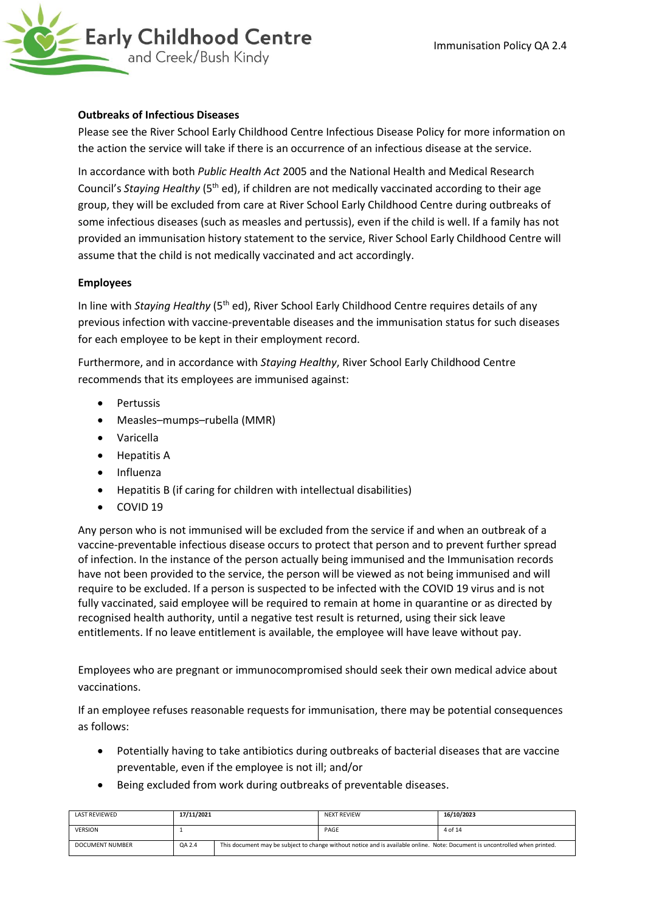

#### **Outbreaks of Infectious Diseases**

Please see the River School Early Childhood Centre Infectious Disease Policy for more information on the action the service will take if there is an occurrence of an infectious disease at the service.

In accordance with both *Public Health Act* 2005 and the National Health and Medical Research Council's *Staying Healthy* (5<sup>th</sup> ed), if children are not medically vaccinated according to their age group, they will be excluded from care at River School Early Childhood Centre during outbreaks of some infectious diseases (such as measles and pertussis), even if the child is well. If a family has not provided an immunisation history statement to the service, River School Early Childhood Centre will assume that the child is not medically vaccinated and act accordingly.

#### **Employees**

In line with *Staying Healthy* (5<sup>th</sup> ed), River School Early Childhood Centre requires details of any previous infection with vaccine-preventable diseases and the immunisation status for such diseases for each employee to be kept in their employment record.

Furthermore, and in accordance with *Staying Healthy*, River School Early Childhood Centre recommends that its employees are immunised against:

- Pertussis
- Measles–mumps–rubella (MMR)
- Varicella
- Hepatitis A
- Influenza
- Hepatitis B (if caring for children with intellectual disabilities)
- COVID 19

Any person who is not immunised will be excluded from the service if and when an outbreak of a vaccine-preventable infectious disease occurs to protect that person and to prevent further spread of infection. In the instance of the person actually being immunised and the Immunisation records have not been provided to the service, the person will be viewed as not being immunised and will require to be excluded. If a person is suspected to be infected with the COVID 19 virus and is not fully vaccinated, said employee will be required to remain at home in quarantine or as directed by recognised health authority, until a negative test result is returned, using their sick leave entitlements. If no leave entitlement is available, the employee will have leave without pay.

Employees who are pregnant or immunocompromised should seek their own medical advice about vaccinations.

If an employee refuses reasonable requests for immunisation, there may be potential consequences as follows:

- Potentially having to take antibiotics during outbreaks of bacterial diseases that are vaccine preventable, even if the employee is not ill; and/or
- Being excluded from work during outbreaks of preventable diseases.

| <b>LAST REVIEWED</b>   | 17/11/2021 |  | <b>NEXT REVIEW</b>                                                                                                          | 16/10/2023 |
|------------------------|------------|--|-----------------------------------------------------------------------------------------------------------------------------|------------|
| <b>VERSION</b>         |            |  | PAGE                                                                                                                        | 4 of 14    |
| <b>DOCUMENT NUMBER</b> | QA 2.4     |  | This document may be subject to change without notice and is available online. Note: Document is uncontrolled when printed. |            |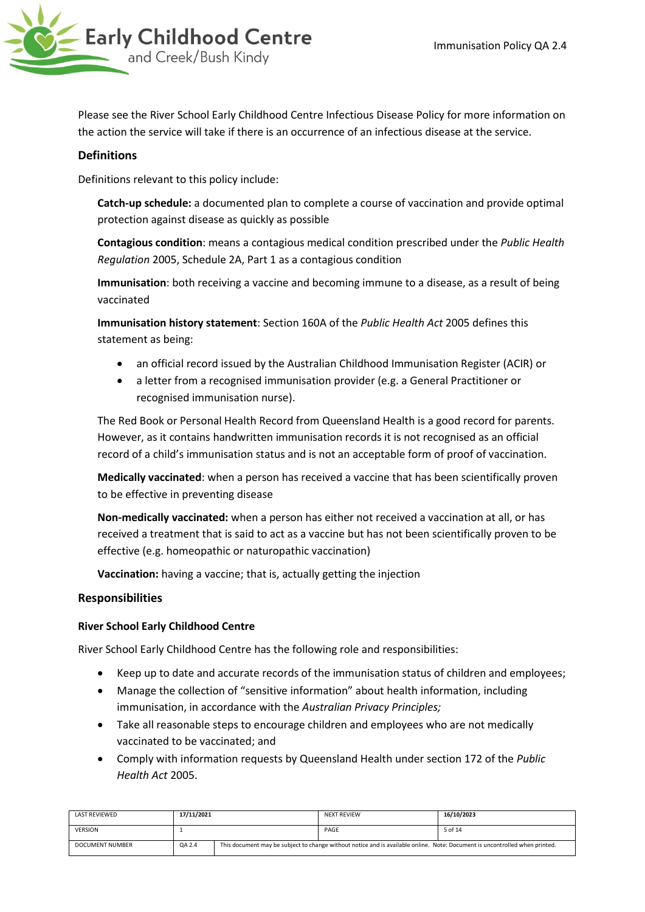

Please see the River School Early Childhood Centre Infectious Disease Policy for more information on the action the service will take if there is an occurrence of an infectious disease at the service.

# **Definitions**

Definitions relevant to this policy include:

**Catch-up schedule:** a documented plan to complete a course of vaccination and provide optimal protection against disease as quickly as possible

**Contagious condition**: means a contagious medical condition prescribed under the *Public Health Regulation* 2005, Schedule 2A, Part 1 as a contagious condition

**Immunisation**: both receiving a vaccine and becoming immune to a disease, as a result of being vaccinated

**Immunisation history statement**: Section 160A of the *Public Health Act* 2005 defines this statement as being:

- an official record issued by the Australian Childhood Immunisation Register (ACIR) or
- a letter from a recognised immunisation provider (e.g. a General Practitioner or recognised immunisation nurse).

The Red Book or Personal Health Record from Queensland Health is a good record for parents. However, as it contains handwritten immunisation records it is not recognised as an official record of a child's immunisation status and is not an acceptable form of proof of vaccination.

**Medically vaccinated**: when a person has received a vaccine that has been scientifically proven to be effective in preventing disease

**Non-medically vaccinated:** when a person has either not received a vaccination at all, or has received a treatment that is said to act as a vaccine but has not been scientifically proven to be effective (e.g. homeopathic or naturopathic vaccination)

**Vaccination:** having a vaccine; that is, actually getting the injection

# **Responsibilities**

#### **River School Early Childhood Centre**

River School Early Childhood Centre has the following role and responsibilities:

- Keep up to date and accurate records of the immunisation status of children and employees;
- Manage the collection of "sensitive information" about health information, including immunisation, in accordance with the *Australian Privacy Principles;*
- Take all reasonable steps to encourage children and employees who are not medically vaccinated to be vaccinated; and
- Comply with information requests by Queensland Health under section 172 of the *Public Health Act* 2005.

| <b>LAST REVIEWED</b>   | 17/11/2021 |  | <b>NEXT REVIEW</b>                                                                                                          | 16/10/2023 |
|------------------------|------------|--|-----------------------------------------------------------------------------------------------------------------------------|------------|
| <b>VERSION</b>         |            |  | PAGE                                                                                                                        | 5 of 14    |
| <b>DOCUMENT NUMBER</b> | QA 2.4     |  | This document may be subject to change without notice and is available online. Note: Document is uncontrolled when printed. |            |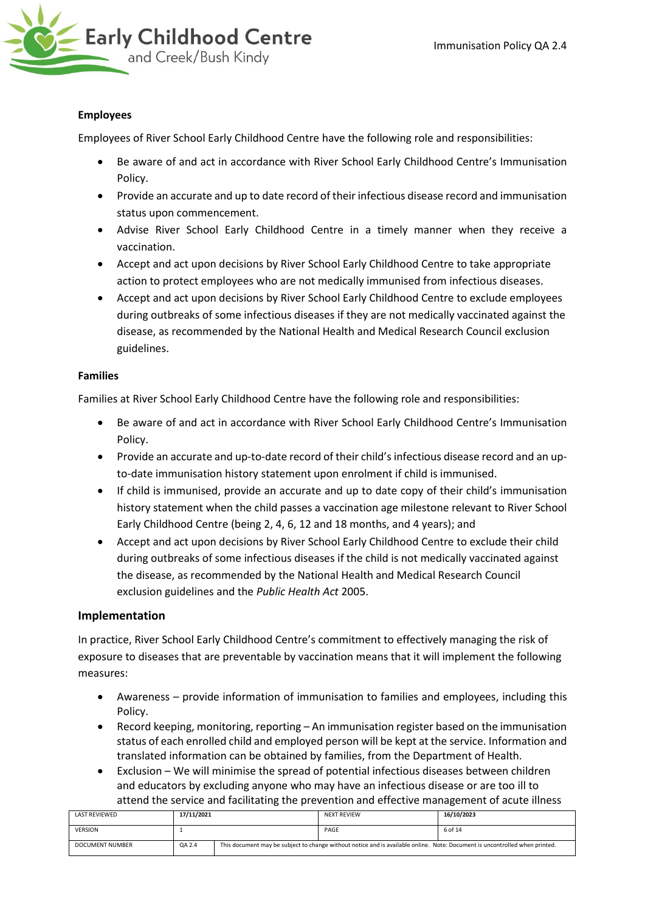

### **Employees**

Employees of River School Early Childhood Centre have the following role and responsibilities:

- Be aware of and act in accordance with River School Early Childhood Centre's Immunisation Policy.
- Provide an accurate and up to date record of their infectious disease record and immunisation status upon commencement.
- Advise River School Early Childhood Centre in a timely manner when they receive a vaccination.
- Accept and act upon decisions by River School Early Childhood Centre to take appropriate action to protect employees who are not medically immunised from infectious diseases.
- Accept and act upon decisions by River School Early Childhood Centre to exclude employees during outbreaks of some infectious diseases if they are not medically vaccinated against the disease, as recommended by the National Health and Medical Research Council exclusion guidelines.

### **Families**

Families at River School Early Childhood Centre have the following role and responsibilities:

- Be aware of and act in accordance with River School Early Childhood Centre's Immunisation Policy.
- Provide an accurate and up-to-date record of their child's infectious disease record and an upto-date immunisation history statement upon enrolment if child is immunised.
- If child is immunised, provide an accurate and up to date copy of their child's immunisation history statement when the child passes a vaccination age milestone relevant to River School Early Childhood Centre (being 2, 4, 6, 12 and 18 months, and 4 years); and
- Accept and act upon decisions by River School Early Childhood Centre to exclude their child during outbreaks of some infectious diseases if the child is not medically vaccinated against the disease, as recommended by the National Health and Medical Research Council exclusion guidelines and the *Public Health Act* 2005.

#### **Implementation**

In practice, River School Early Childhood Centre's commitment to effectively managing the risk of exposure to diseases that are preventable by vaccination means that it will implement the following measures:

- Awareness provide information of immunisation to families and employees, including this Policy.
- Record keeping, monitoring, reporting An immunisation register based on the immunisation status of each enrolled child and employed person will be kept at the service. Information and translated information can be obtained by families, from the Department of Health.
- Exclusion We will minimise the spread of potential infectious diseases between children and educators by excluding anyone who may have an infectious disease or are too ill to attend the service and facilitating the prevention and effective management of acute illness

| LAST REVIEWED          | 17/11/2021 |  | <b>NEXT REVIEW</b>                                                                                                          | 16/10/2023 |
|------------------------|------------|--|-----------------------------------------------------------------------------------------------------------------------------|------------|
| <b>VERSION</b>         |            |  | PAGE                                                                                                                        | 6 of 14    |
| <b>DOCUMENT NUMBER</b> | QA 2.4     |  | This document may be subject to change without notice and is available online. Note: Document is uncontrolled when printed. |            |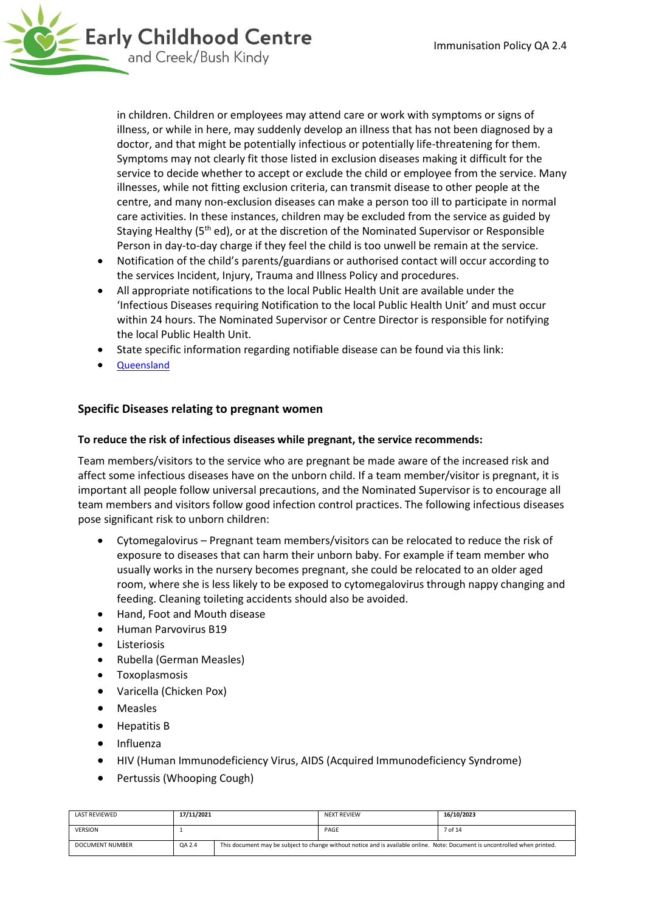

in children. Children or employees may attend care or work with symptoms or signs of illness, or while in here, may suddenly develop an illness that has not been diagnosed by a doctor, and that might be potentially infectious or potentially life-threatening for them. Symptoms may not clearly fit those listed in exclusion diseases making it difficult for the service to decide whether to accept or exclude the child or employee from the service. Many illnesses, while not fitting exclusion criteria, can transmit disease to other people at the centre, and many non-exclusion diseases can make a person too ill to participate in normal care activities. In these instances, children may be excluded from the service as guided by Staying Healthy (5<sup>th</sup> ed), or at the discretion of the Nominated Supervisor or Responsible Person in day-to-day charge if they feel the child is too unwell be remain at the service.

- Notification of the child's parents/guardians or authorised contact will occur according to the services Incident, Injury, Trauma and Illness Policy and procedures.
- All appropriate notifications to the local Public Health Unit are available under the 'Infectious Diseases requiring Notification to the local Public Health Unit' and must occur within 24 hours. The Nominated Supervisor or Centre Director is responsible for notifying the local Public Health Unit.
- State specific information regarding notifiable disease can be found via this link:
- [Queensland](https://www.health.qld.gov.au/clinical-practice/guidelines-procedures/diseases-infection/notifiable-conditions/list)

### **Specific Diseases relating to pregnant women**

#### **To reduce the risk of infectious diseases while pregnant, the service recommends:**

Team members/visitors to the service who are pregnant be made aware of the increased risk and affect some infectious diseases have on the unborn child. If a team member/visitor is pregnant, it is important all people follow universal precautions, and the Nominated Supervisor is to encourage all team members and visitors follow good infection control practices. The following infectious diseases pose significant risk to unborn children:

- Cytomegalovirus Pregnant team members/visitors can be relocated to reduce the risk of exposure to diseases that can harm their unborn baby. For example if team member who usually works in the nursery becomes pregnant, she could be relocated to an older aged room, where she is less likely to be exposed to cytomegalovirus through nappy changing and feeding. Cleaning toileting accidents should also be avoided.
- Hand, Foot and Mouth disease
- Human Parvovirus B19
- Listeriosis
- Rubella (German Measles)
- Toxoplasmosis
- Varicella (Chicken Pox)
- Measles
- Hepatitis B
- Influenza
- HIV (Human Immunodeficiency Virus, AIDS (Acquired Immunodeficiency Syndrome)
- Pertussis (Whooping Cough)

| LAST REVIEWED   | 17/11/2021 |  | <b>NEXT REVIEW</b>                                                                                                          | 16/10/2023 |
|-----------------|------------|--|-----------------------------------------------------------------------------------------------------------------------------|------------|
| <b>VERSION</b>  |            |  | PAGE                                                                                                                        | 7 of 14    |
| DOCUMENT NUMBER | QA 2.4     |  | This document may be subject to change without notice and is available online. Note: Document is uncontrolled when printed. |            |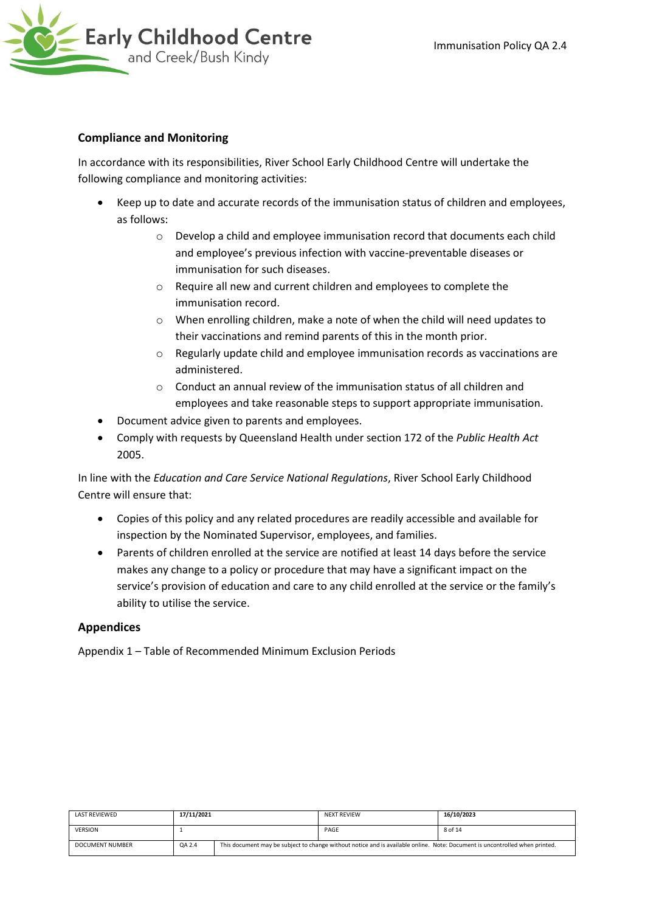

## **Compliance and Monitoring**

In accordance with its responsibilities, River School Early Childhood Centre will undertake the following compliance and monitoring activities:

- Keep up to date and accurate records of the immunisation status of children and employees, as follows:
	- o Develop a child and employee immunisation record that documents each child and employee's previous infection with vaccine-preventable diseases or immunisation for such diseases.
	- o Require all new and current children and employees to complete the immunisation record.
	- o When enrolling children, make a note of when the child will need updates to their vaccinations and remind parents of this in the month prior.
	- o Regularly update child and employee immunisation records as vaccinations are administered.
	- o Conduct an annual review of the immunisation status of all children and employees and take reasonable steps to support appropriate immunisation.
- Document advice given to parents and employees.
- Comply with requests by Queensland Health under section 172 of the *Public Health Act* 2005.

In line with the *Education and Care Service National Regulations*, River School Early Childhood Centre will ensure that:

- Copies of this policy and any related procedures are readily accessible and available for inspection by the Nominated Supervisor, employees, and families.
- Parents of children enrolled at the service are notified at least 14 days before the service makes any change to a policy or procedure that may have a significant impact on the service's provision of education and care to any child enrolled at the service or the family's ability to utilise the service.

# **Appendices**

Appendix 1 – Table of Recommended Minimum Exclusion Periods

| <b>LAST REVIEWED</b>   | 17/11/2021 |  | <b>NEXT REVIEW</b> | 16/10/2023                                                                                                                  |
|------------------------|------------|--|--------------------|-----------------------------------------------------------------------------------------------------------------------------|
| <b>VERSION</b>         |            |  | PAGE               | 8 of 14                                                                                                                     |
| <b>DOCUMENT NUMBER</b> | QA 2.4     |  |                    | This document may be subject to change without notice and is available online. Note: Document is uncontrolled when printed. |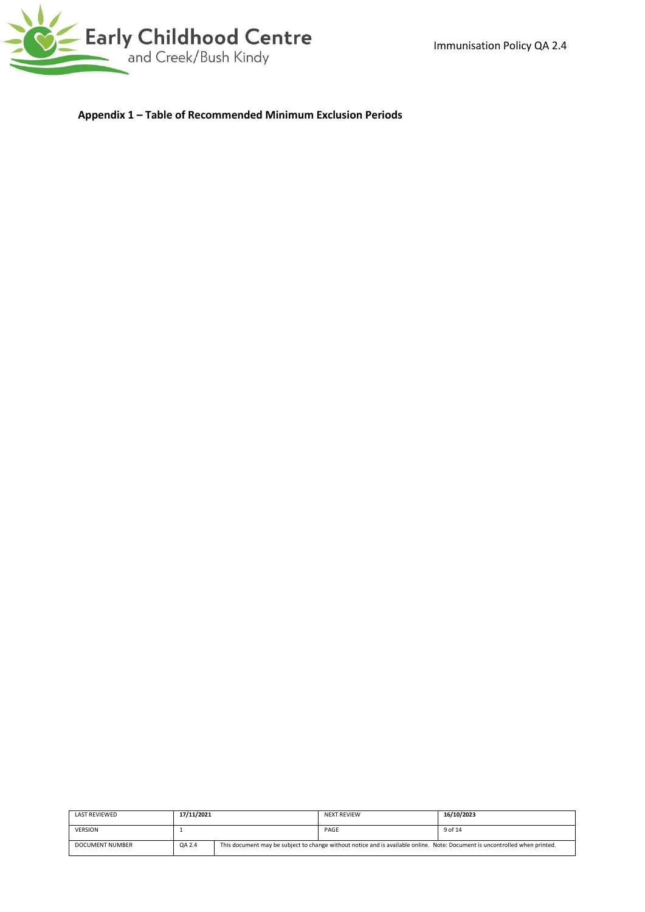

**Appendix 1 – Table of Recommended Minimum Exclusion Periods** 

| LAST REVIEWED   | 17/11/2021 |  | <b>NEXT REVIEW</b>                                                                                                          | 16/10/2023 |
|-----------------|------------|--|-----------------------------------------------------------------------------------------------------------------------------|------------|
| <b>VERSION</b>  |            |  | PAGE                                                                                                                        | 9 of 14    |
| DOCUMENT NUMBER | QA 2.4     |  | This document may be subject to change without notice and is available online. Note: Document is uncontrolled when printed. |            |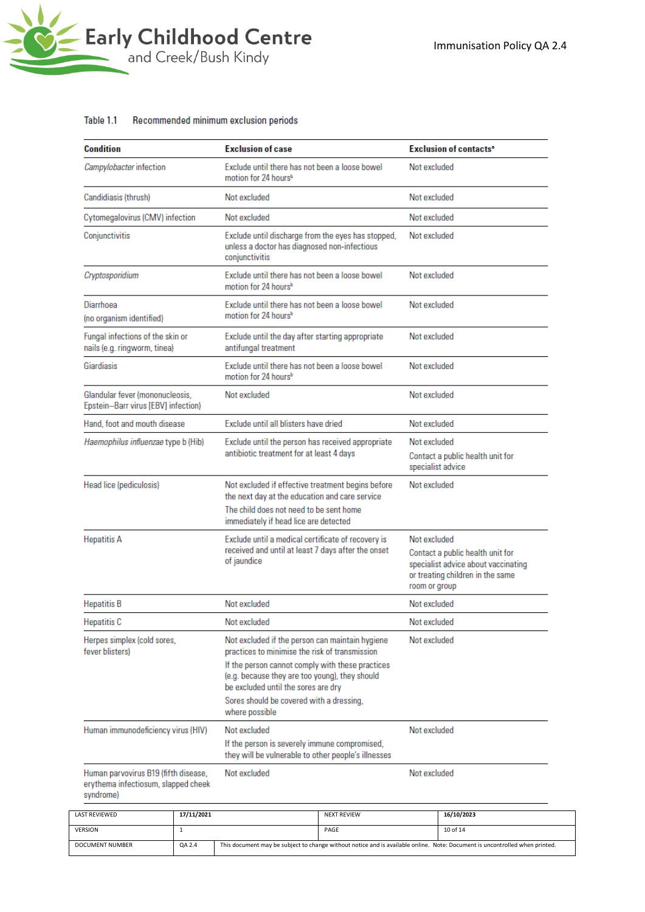

#### Recommended minimum exclusion periods Table 1.1

| Condition                                                                                | <b>Exclusion of case</b> |                                                                                                                                                                                                                                                                                            |                                                    | <b>Exclusion of contacts<sup>®</sup></b>              |                                                                                                                              |  |
|------------------------------------------------------------------------------------------|--------------------------|--------------------------------------------------------------------------------------------------------------------------------------------------------------------------------------------------------------------------------------------------------------------------------------------|----------------------------------------------------|-------------------------------------------------------|------------------------------------------------------------------------------------------------------------------------------|--|
| Campylobacter infection                                                                  |                          | Exclude until there has not been a loose bowel<br>motion for 24 hours <sup>b</sup>                                                                                                                                                                                                         |                                                    | Not excluded                                          |                                                                                                                              |  |
| Candidiasis (thrush)                                                                     |                          | Not excluded                                                                                                                                                                                                                                                                               |                                                    | Not excluded                                          |                                                                                                                              |  |
| Cytomegalovirus (CMV) infection                                                          |                          | Not excluded                                                                                                                                                                                                                                                                               |                                                    | Not excluded                                          |                                                                                                                              |  |
| Conjunctivitis                                                                           |                          | Exclude until discharge from the eyes has stopped,<br>unless a doctor has diagnosed non-infectious<br>conjunctivitis                                                                                                                                                                       |                                                    | Not excluded                                          |                                                                                                                              |  |
| Cryptosporidium                                                                          |                          | Exclude until there has not been a loose bowel<br>motion for 24 hours <sup>b</sup>                                                                                                                                                                                                         |                                                    | Not excluded                                          |                                                                                                                              |  |
| Diarrhoea<br>(no organism identified)                                                    |                          | Exclude until there has not been a loose bowel<br>motion for 24 hours <sup>b</sup>                                                                                                                                                                                                         |                                                    | Not excluded                                          |                                                                                                                              |  |
| Fungal infections of the skin or<br>nails (e.g. ringworm, tinea)                         |                          | Exclude until the day after starting appropriate<br>antifungal treatment                                                                                                                                                                                                                   |                                                    | Not excluded                                          |                                                                                                                              |  |
| Giardiasis                                                                               |                          | Exclude until there has not been a loose bowel<br>motion for 24 hours <sup>b</sup>                                                                                                                                                                                                         |                                                    | Not excluded                                          |                                                                                                                              |  |
| Glandular fever (mononucleosis,<br>Epstein-Barr virus [EBV] infection)                   |                          | Not excluded                                                                                                                                                                                                                                                                               |                                                    | Not excluded                                          |                                                                                                                              |  |
| Hand, foot and mouth disease                                                             |                          | Exclude until all blisters have dried                                                                                                                                                                                                                                                      |                                                    | Not excluded                                          |                                                                                                                              |  |
| Haemophilus influenzae type b (Hib)                                                      |                          | Exclude until the person has received appropriate<br>antibiotic treatment for at least 4 days                                                                                                                                                                                              |                                                    | Not excluded                                          |                                                                                                                              |  |
|                                                                                          |                          |                                                                                                                                                                                                                                                                                            |                                                    | Contact a public health unit for<br>specialist advice |                                                                                                                              |  |
| Head lice (pediculosis)                                                                  |                          | Not excluded if effective treatment begins before<br>the next day at the education and care service                                                                                                                                                                                        |                                                    | Not excluded                                          |                                                                                                                              |  |
|                                                                                          |                          | The child does not need to be sent home<br>immediately if head lice are detected                                                                                                                                                                                                           |                                                    |                                                       |                                                                                                                              |  |
| <b>Hepatitis A</b>                                                                       |                          |                                                                                                                                                                                                                                                                                            | Exclude until a medical certificate of recovery is |                                                       | Not excluded                                                                                                                 |  |
|                                                                                          |                          | received and until at least 7 days after the onset<br>of jaundice                                                                                                                                                                                                                          |                                                    |                                                       | Contact a public health unit for<br>specialist advice about vaccinating<br>or treating children in the same<br>room or group |  |
| <b>Hepatitis B</b>                                                                       |                          | Not excluded                                                                                                                                                                                                                                                                               |                                                    | Not excluded                                          |                                                                                                                              |  |
| <b>Hepatitis C</b>                                                                       |                          | Not excluded                                                                                                                                                                                                                                                                               |                                                    | Not excluded                                          |                                                                                                                              |  |
| Herpes simplex (cold sores,<br>fever blisters)                                           |                          | Not excluded if the person can maintain hygiene<br>practices to minimise the risk of transmission<br>If the person cannot comply with these practices<br>(e.g. because they are too young), they should<br>be excluded until the sores are dry<br>Sores should be covered with a dressing, |                                                    | Not excluded                                          |                                                                                                                              |  |
| Human immunodeficiency virus (HIV)                                                       |                          | where possible<br>Not excluded<br>If the person is severely immune compromised,<br>they will be vulnerable to other people's illnesses                                                                                                                                                     |                                                    | Not excluded                                          |                                                                                                                              |  |
| Human parvovirus B19 (fifth disease,<br>erythema infectiosum, slapped cheek<br>syndrome) |                          | Not excluded                                                                                                                                                                                                                                                                               |                                                    | Not excluded                                          |                                                                                                                              |  |
| <b>AST REVIEWED</b>                                                                      | 17/11/2021               |                                                                                                                                                                                                                                                                                            | <b>NEXT REVIEW</b>                                 |                                                       | 16/10/2023                                                                                                                   |  |
|                                                                                          |                          |                                                                                                                                                                                                                                                                                            |                                                    |                                                       |                                                                                                                              |  |

| LASI KEVIEWED          | 1771172021 |                                                                                                                             | <b>INCAL REVIEW</b> | 10/10/2023 |
|------------------------|------------|-----------------------------------------------------------------------------------------------------------------------------|---------------------|------------|
| <b>VERSION</b>         |            |                                                                                                                             | PAGE                | 10 of 14   |
| <b>DOCUMENT NUMBER</b> | QA 2.4     | This document may be subject to change without notice and is available online. Note: Document is uncontrolled when printed. |                     |            |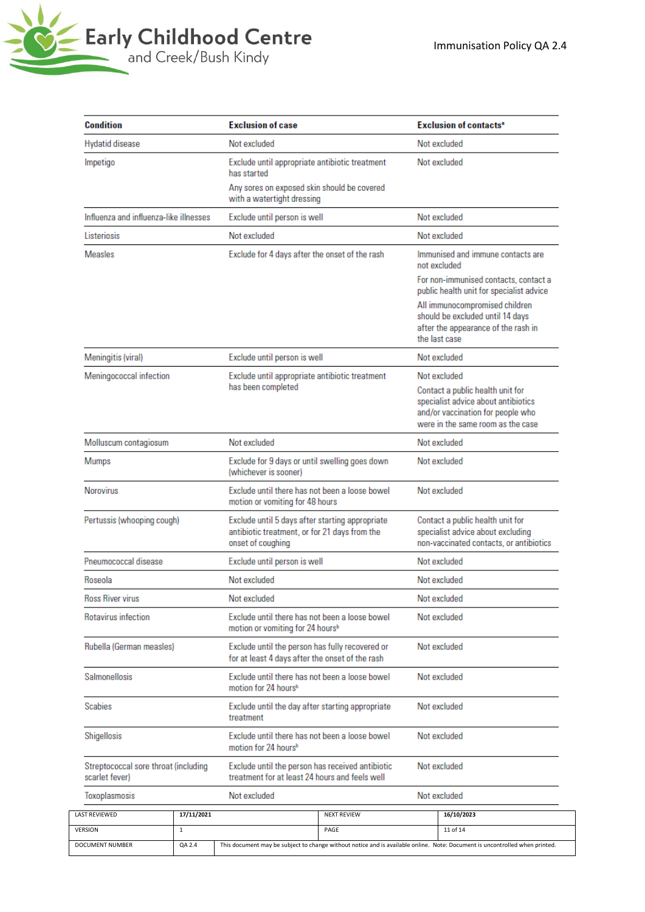

| <b>Condition</b>                                       | <b>Exclusion of case</b> |                                                                                                                       |                                                                                                    | <b>Exclusion of contacts<sup>®</sup></b>                                                                                   |                                                                                                                                                   |  |
|--------------------------------------------------------|--------------------------|-----------------------------------------------------------------------------------------------------------------------|----------------------------------------------------------------------------------------------------|----------------------------------------------------------------------------------------------------------------------------|---------------------------------------------------------------------------------------------------------------------------------------------------|--|
| Hydatid disease                                        |                          | Not excluded                                                                                                          |                                                                                                    | Not excluded                                                                                                               |                                                                                                                                                   |  |
| Impetigo                                               |                          | Exclude until appropriate antibiotic treatment<br>has started                                                         |                                                                                                    |                                                                                                                            | Not excluded                                                                                                                                      |  |
|                                                        |                          | Any sores on exposed skin should be covered<br>with a watertight dressing                                             |                                                                                                    |                                                                                                                            |                                                                                                                                                   |  |
| Influenza and influenza-like illnesses                 |                          | Exclude until person is well                                                                                          |                                                                                                    |                                                                                                                            | Not excluded                                                                                                                                      |  |
| Listeriosis                                            |                          | Not excluded                                                                                                          |                                                                                                    |                                                                                                                            | Not excluded                                                                                                                                      |  |
| <b>Measles</b>                                         |                          | Exclude for 4 days after the onset of the rash                                                                        |                                                                                                    |                                                                                                                            | Immunised and immune contacts are<br>hebuloxe ton                                                                                                 |  |
|                                                        |                          |                                                                                                                       |                                                                                                    |                                                                                                                            | For non-immunised contacts, contact a<br>public health unit for specialist advice                                                                 |  |
|                                                        |                          |                                                                                                                       |                                                                                                    | All immunocompromised children<br>should be excluded until 14 days<br>after the appearance of the rash in<br>the last case |                                                                                                                                                   |  |
| Meningitis (viral)                                     |                          | Exclude until person is well                                                                                          |                                                                                                    |                                                                                                                            | Not excluded                                                                                                                                      |  |
| Meningococcal infection                                |                          |                                                                                                                       | Exclude until appropriate antibiotic treatment                                                     |                                                                                                                            | Not excluded                                                                                                                                      |  |
|                                                        |                          | has been completed                                                                                                    |                                                                                                    |                                                                                                                            | Contact a public health unit for<br>specialist advice about antibiotics<br>and/or vaccination for people who<br>were in the same room as the case |  |
| Molluscum contagiosum                                  |                          | Not excluded                                                                                                          |                                                                                                    |                                                                                                                            | Not excluded                                                                                                                                      |  |
| Mumps                                                  |                          | Exclude for 9 days or until swelling goes down<br>(whichever is sooner)                                               |                                                                                                    |                                                                                                                            | Not excluded                                                                                                                                      |  |
| <b>Norovirus</b>                                       |                          | Exclude until there has not been a loose bowel<br>motion or vomiting for 48 hours                                     |                                                                                                    | Not excluded                                                                                                               |                                                                                                                                                   |  |
| Pertussis (whooping cough)                             |                          | Exclude until 5 days after starting appropriate<br>antibiotic treatment, or for 21 days from the<br>onset of coughing |                                                                                                    | Contact a public health unit for<br>specialist advice about excluding<br>non-vaccinated contacts, or antibiotics           |                                                                                                                                                   |  |
| Pneumococcal disease                                   |                          | Exclude until person is well                                                                                          |                                                                                                    |                                                                                                                            | Not excluded                                                                                                                                      |  |
| Roseola                                                |                          | Not excluded                                                                                                          |                                                                                                    | Not excluded                                                                                                               |                                                                                                                                                   |  |
| <b>Ross River virus</b>                                |                          | Not excluded                                                                                                          |                                                                                                    | Not excluded                                                                                                               |                                                                                                                                                   |  |
| Rotavirus infection                                    |                          | Exclude until there has not been a loose bowel<br>motion or vomiting for 24 hours <sup>b</sup>                        |                                                                                                    | Not excluded                                                                                                               |                                                                                                                                                   |  |
| Rubella (German measles)                               |                          | Exclude until the person has fully recovered or<br>for at least 4 days after the onset of the rash                    |                                                                                                    | Not excluded                                                                                                               |                                                                                                                                                   |  |
| Salmonellosis                                          |                          | motion for 24 hours <sup>b</sup>                                                                                      | Exclude until there has not been a loose bowel                                                     |                                                                                                                            | Not excluded                                                                                                                                      |  |
| Scabies                                                |                          | Exclude until the day after starting appropriate<br>treatment                                                         |                                                                                                    | Not excluded                                                                                                               |                                                                                                                                                   |  |
| Shigellosis                                            |                          | Exclude until there has not been a loose bowel<br>motion for 24 hours <sup>b</sup>                                    |                                                                                                    | Not excluded                                                                                                               |                                                                                                                                                   |  |
| Streptococcal sore throat (including<br>scarlet fever) |                          |                                                                                                                       | Exclude until the person has received antibiotic<br>treatment for at least 24 hours and feels well |                                                                                                                            | Not excluded                                                                                                                                      |  |
| Toxoplasmosis                                          |                          | Not excluded                                                                                                          |                                                                                                    |                                                                                                                            | Not excluded                                                                                                                                      |  |
| LAST REVIEWED                                          | 17/11/2021               |                                                                                                                       | <b>NEXT REVIEW</b>                                                                                 |                                                                                                                            | 16/10/2023                                                                                                                                        |  |
| VERSION<br>$\mathbf{1}$                                |                          |                                                                                                                       | PAGE                                                                                               |                                                                                                                            | 11 of 14                                                                                                                                          |  |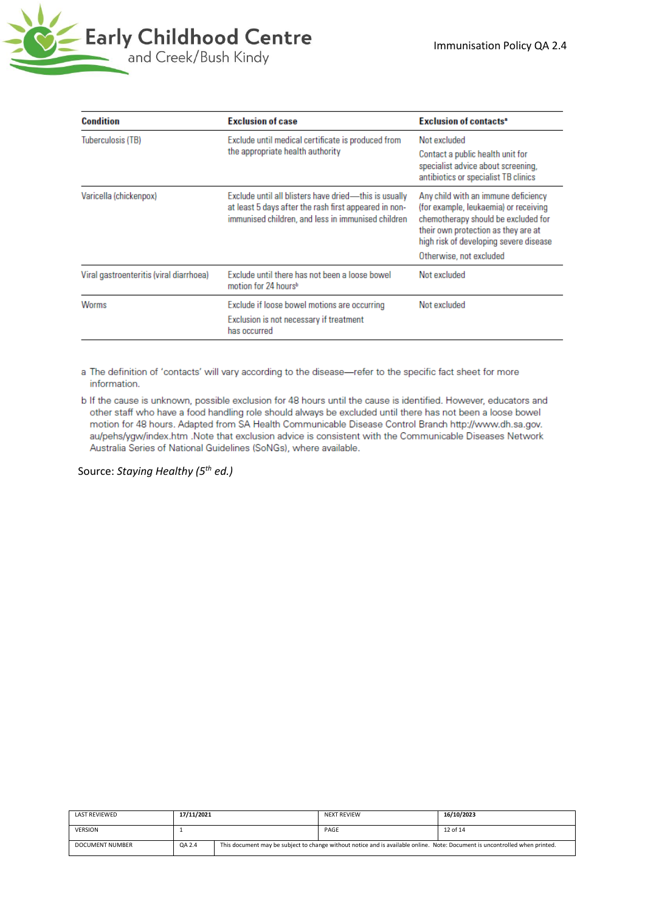

| <b>Condition</b>                        | <b>Exclusion of case</b>                                                                                                                                                | Exclusion of contacts <sup>®</sup>                                                                                                                                                                                              |
|-----------------------------------------|-------------------------------------------------------------------------------------------------------------------------------------------------------------------------|---------------------------------------------------------------------------------------------------------------------------------------------------------------------------------------------------------------------------------|
| Tuberculosis (TB)                       | Exclude until medical certificate is produced from<br>the appropriate health authority                                                                                  | Not excluded<br>Contact a public health unit for<br>specialist advice about screening,<br>antibiotics or specialist TB clinics                                                                                                  |
| Varicella (chickenpox)                  | Exclude until all blisters have dried----this is usually<br>at least 5 days after the rash first appeared in non-<br>immunised children, and less in immunised children | Any child with an immune deficiency<br>(for example, leukaemia) or receiving<br>chemotherapy should be excluded for<br>their own protection as they are at<br>high risk of developing severe disease<br>Otherwise, not excluded |
| Viral gastroenteritis (viral diarrhoea) | Exclude until there has not been a loose bowel<br>motion for 24 hours <sup>b</sup>                                                                                      | Not excluded                                                                                                                                                                                                                    |
| Worms                                   | Exclude if loose bowel motions are occurring<br>Exclusion is not necessary if treatment<br>has occurred                                                                 | Not excluded                                                                                                                                                                                                                    |

a The definition of 'contacts' will vary according to the disease-refer to the specific fact sheet for more information.

b If the cause is unknown, possible exclusion for 48 hours until the cause is identified. However, educators and other staff who have a food handling role should always be excluded until there has not been a loose bowel motion for 48 hours. Adapted from SA Health Communicable Disease Control Branch http://www.dh.sa.gov. au/pehs/ygw/index.htm .Note that exclusion advice is consistent with the Communicable Diseases Network Australia Series of National Guidelines (SoNGs), where available.

Source: *Staying Healthy (5th ed.)*

| <b>LAST REVIEWED</b> | 17/11/2021 |                                                                                                                             | <b>NEXT REVIEW</b> | 16/10/2023 |
|----------------------|------------|-----------------------------------------------------------------------------------------------------------------------------|--------------------|------------|
| <b>VERSION</b>       |            |                                                                                                                             | PAGE               | 12 of 14   |
| DOCUMENT NUMBER      | QA 2.4     | This document may be subject to change without notice and is available online. Note: Document is uncontrolled when printed. |                    |            |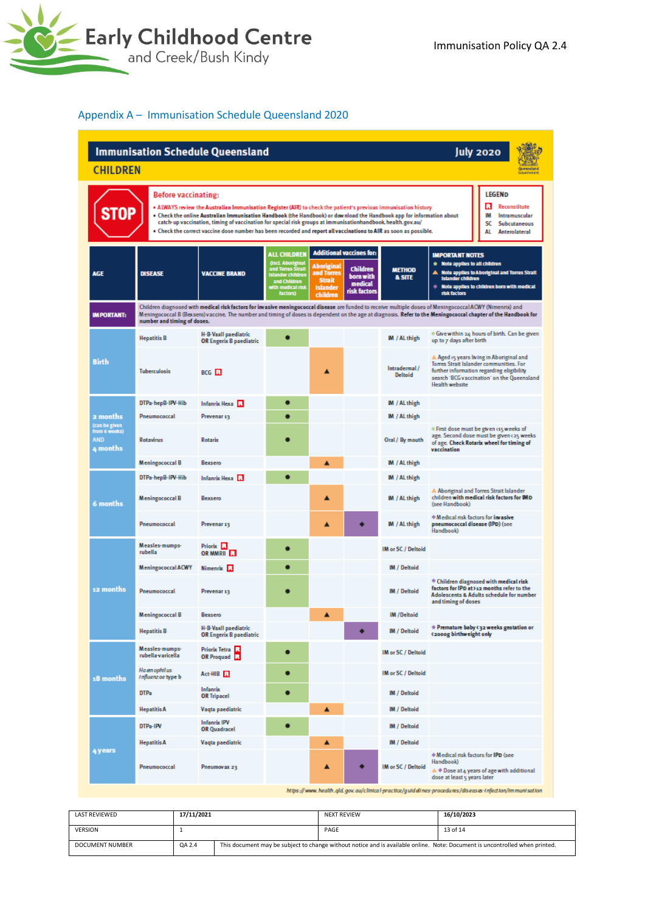

### Appendix A – Immunisation Schedule Queensland 2020

| <b>Immunisation Schedule Queensland</b><br><b>July 2020</b><br><b>CHILDREN</b><br>Government                                                                                                                                                                                                                                                                                                                                                                                                                                                                                                                  |                                                                                                                                                                                                                                                                                                                                                            |                                                 |                                                                                                                                     |                                                                          |                                                                                            |                                    |                                                                                                      |                                                                                                                                                                                |
|---------------------------------------------------------------------------------------------------------------------------------------------------------------------------------------------------------------------------------------------------------------------------------------------------------------------------------------------------------------------------------------------------------------------------------------------------------------------------------------------------------------------------------------------------------------------------------------------------------------|------------------------------------------------------------------------------------------------------------------------------------------------------------------------------------------------------------------------------------------------------------------------------------------------------------------------------------------------------------|-------------------------------------------------|-------------------------------------------------------------------------------------------------------------------------------------|--------------------------------------------------------------------------|--------------------------------------------------------------------------------------------|------------------------------------|------------------------------------------------------------------------------------------------------|--------------------------------------------------------------------------------------------------------------------------------------------------------------------------------|
| <b>LEGEND</b><br>Before vaccinating:<br>Reconstitute<br>п<br>. ALWAYS review the Australian Immunisation Register (AIR) to check the patient's previous immunisation history<br>. Check the online Australian Immunisation Handbook (the Handbook) or download the Handbook app for information about<br>IМ<br>Intramuscular<br>catch-up vaccination, timing of vaccination for special risk groups at immunisationhandbook. health.gov.au/<br>sc<br>Subcutaneous<br>. Check the correct vaccine dose number has been recorded and report all vaccinations to AIR as soon as possible.<br>AL<br>Anterolateral |                                                                                                                                                                                                                                                                                                                                                            |                                                 |                                                                                                                                     |                                                                          |                                                                                            |                                    |                                                                                                      |                                                                                                                                                                                |
| <b>AGE</b>                                                                                                                                                                                                                                                                                                                                                                                                                                                                                                                                                                                                    | <b>DISEASE</b>                                                                                                                                                                                                                                                                                                                                             | <b>VACCINE BRAND</b>                            | <b>ALL CHILDREN</b><br>(Incl. Aboriginal<br>and Torres Strait<br>Islander children<br>and Children<br>with medical risk<br>factors) | Aboriginal<br>and Torres<br><b>Strait</b><br><b>Islander</b><br>children | <b>Additional vaccines for:</b><br><b>Children</b><br>born with<br>medical<br>risk factors | <b>METHOD</b><br><b>&amp; SITE</b> | <b>IMPORTANT NOTES</b><br>. Note applies to all children<br><b>Islander children</b><br>risk factors | Note applies to Aboriginal and Torres Strait<br>$\triangleq$ Note applies to children born with medical                                                                        |
| <b>IMPORTANT:</b>                                                                                                                                                                                                                                                                                                                                                                                                                                                                                                                                                                                             | Children diagnosed with medical risk factors for invasive meningococcal disease are funded to receive multiple doses of Meningococcal ACWY (Nimenrix) and<br>Meningococcal B (Bexsero) vaccine. The number and timing of doses is dependent on the age at diagnosis. Refer to the Meningococcal chapter of the Handbook for<br>number and timing of doses. |                                                 |                                                                                                                                     |                                                                          |                                                                                            |                                    |                                                                                                      |                                                                                                                                                                                |
|                                                                                                                                                                                                                                                                                                                                                                                                                                                                                                                                                                                                               | <b>Hepatitis B</b>                                                                                                                                                                                                                                                                                                                                         | H-B-Vaxil paediatric<br>OR Engerix B paediatric |                                                                                                                                     |                                                                          |                                                                                            | IM / AL thigh                      | up to 7 days after birth                                                                             | . Give within 24 hours of birth. Can be given                                                                                                                                  |
| Birth                                                                                                                                                                                                                                                                                                                                                                                                                                                                                                                                                                                                         | <b>Tuberculosis</b>                                                                                                                                                                                                                                                                                                                                        | BCG <sub>R</sub>                                |                                                                                                                                     |                                                                          |                                                                                            | Intradermal/<br><b>Deltoid</b>     | <b>Health website</b>                                                                                | A Aged 15 years living in Aboriginal and<br>Torres Strait Islander communities. For<br>further information regarding eligibility<br>search 'BCG vaccination' on the Queensland |
|                                                                                                                                                                                                                                                                                                                                                                                                                                                                                                                                                                                                               | DTPa-hepB-IPV-Hib                                                                                                                                                                                                                                                                                                                                          | Infanrix Hexa <b>R</b>                          |                                                                                                                                     |                                                                          |                                                                                            | M / AL thigh                       |                                                                                                      |                                                                                                                                                                                |
| 2 months                                                                                                                                                                                                                                                                                                                                                                                                                                                                                                                                                                                                      | Pneumococcal                                                                                                                                                                                                                                                                                                                                               | Prevenar 13                                     |                                                                                                                                     |                                                                          |                                                                                            | <b>M</b> / AL thigh                |                                                                                                      |                                                                                                                                                                                |
| (can be given<br>from 6 weeks)<br><b>AND</b><br>4 months                                                                                                                                                                                                                                                                                                                                                                                                                                                                                                                                                      | <b>Rotavirus</b>                                                                                                                                                                                                                                                                                                                                           | Rotarix                                         |                                                                                                                                     |                                                                          |                                                                                            | Oral / By mouth                    | vaccination                                                                                          | . First dose must be given cis weeks of<br>age. Second dose must be given c25 weeks<br>of age. Check Rotarix wheel for timing of                                               |
|                                                                                                                                                                                                                                                                                                                                                                                                                                                                                                                                                                                                               | <b>Meningococcal B</b>                                                                                                                                                                                                                                                                                                                                     | Bexsero                                         |                                                                                                                                     | ▲                                                                        |                                                                                            | <b>M</b> / AL thigh                |                                                                                                      |                                                                                                                                                                                |
|                                                                                                                                                                                                                                                                                                                                                                                                                                                                                                                                                                                                               | DTPa-hepB-IPV-Hib                                                                                                                                                                                                                                                                                                                                          | Infanrix Hexa <b>R</b>                          |                                                                                                                                     |                                                                          |                                                                                            | M / AL thigh                       |                                                                                                      |                                                                                                                                                                                |
| 6 months                                                                                                                                                                                                                                                                                                                                                                                                                                                                                                                                                                                                      | <b>Meningococcal B</b>                                                                                                                                                                                                                                                                                                                                     | Bexsero                                         |                                                                                                                                     | Δ                                                                        |                                                                                            | <b>M</b> / AL thigh                | (see Handbook)                                                                                       | A Aboriginal and Torres Strait Islander<br>children with medical risk factors for IMD                                                                                          |
|                                                                                                                                                                                                                                                                                                                                                                                                                                                                                                                                                                                                               | Pneumococcal                                                                                                                                                                                                                                                                                                                                               | Prevenar <sub>13</sub>                          |                                                                                                                                     | ▲                                                                        |                                                                                            | M / AL thigh                       | * Medical risk factors for invasive<br>pneumococcal disease (IPD) (see<br>Handbook)                  |                                                                                                                                                                                |
|                                                                                                                                                                                                                                                                                                                                                                                                                                                                                                                                                                                                               | Measles-mumps-<br>rubella                                                                                                                                                                                                                                                                                                                                  | Priorix <b>R</b><br>OR MMRII <b>ER</b>          |                                                                                                                                     |                                                                          |                                                                                            | IM or SC / Deltoid                 |                                                                                                      |                                                                                                                                                                                |
|                                                                                                                                                                                                                                                                                                                                                                                                                                                                                                                                                                                                               | <b>Meningococcal ACWY</b>                                                                                                                                                                                                                                                                                                                                  | Nimenrix R                                      |                                                                                                                                     |                                                                          |                                                                                            | <b>IM / Deltoid</b>                |                                                                                                      |                                                                                                                                                                                |
| 12 months                                                                                                                                                                                                                                                                                                                                                                                                                                                                                                                                                                                                     | Pneumococcal                                                                                                                                                                                                                                                                                                                                               | Prevenar 13                                     |                                                                                                                                     |                                                                          |                                                                                            | <b>IM</b> / Deltoid                | and timing of doses                                                                                  | * Children diagnosed with medical risk<br>factors for IPD at >12 months refer to the<br>Adolescents & Adults schedule for number                                               |
|                                                                                                                                                                                                                                                                                                                                                                                                                                                                                                                                                                                                               | <b>Meningococcal B</b>                                                                                                                                                                                                                                                                                                                                     | Reveem                                          |                                                                                                                                     | ▲                                                                        |                                                                                            | <b>IM/Deltoid</b>                  |                                                                                                      |                                                                                                                                                                                |
|                                                                                                                                                                                                                                                                                                                                                                                                                                                                                                                                                                                                               | <b>Hepatitis B</b>                                                                                                                                                                                                                                                                                                                                         | H-B-Vaxil paediatric<br>OR Engerix B paediatric |                                                                                                                                     |                                                                          |                                                                                            | <b>IM / Deltoid</b>                | (2000g birthweight only                                                                              | ♦ Premature baby <32 weeks gestation or                                                                                                                                        |
|                                                                                                                                                                                                                                                                                                                                                                                                                                                                                                                                                                                                               | Measles-mumps-<br>rubella-varicella                                                                                                                                                                                                                                                                                                                        | <b>Priorix Tetra</b> 13<br>OR Proquad R         |                                                                                                                                     |                                                                          |                                                                                            | IM or SC / Deltoid                 |                                                                                                      |                                                                                                                                                                                |
| 18 months                                                                                                                                                                                                                                                                                                                                                                                                                                                                                                                                                                                                     | Haemophilus<br>Influenzae type b                                                                                                                                                                                                                                                                                                                           | Act-HIB 3                                       |                                                                                                                                     |                                                                          |                                                                                            | IM or SC / Deltoid                 |                                                                                                      |                                                                                                                                                                                |
|                                                                                                                                                                                                                                                                                                                                                                                                                                                                                                                                                                                                               | DTP <sub>a</sub>                                                                                                                                                                                                                                                                                                                                           | Infanrix<br><b>OR Tripacel</b>                  | О                                                                                                                                   |                                                                          |                                                                                            | <b>IM / Deltoid</b>                |                                                                                                      |                                                                                                                                                                                |
|                                                                                                                                                                                                                                                                                                                                                                                                                                                                                                                                                                                                               | <b>Hepatitis A</b>                                                                                                                                                                                                                                                                                                                                         | Vaqta paediatric                                |                                                                                                                                     | ▲                                                                        |                                                                                            | <b>IM / Deltoid</b>                |                                                                                                      |                                                                                                                                                                                |
|                                                                                                                                                                                                                                                                                                                                                                                                                                                                                                                                                                                                               | DTPa-IPV                                                                                                                                                                                                                                                                                                                                                   | <b>Infanrix IPV</b><br><b>OR Quadracel</b>      |                                                                                                                                     |                                                                          |                                                                                            | <b>IM / Deltoid</b>                |                                                                                                      |                                                                                                                                                                                |
|                                                                                                                                                                                                                                                                                                                                                                                                                                                                                                                                                                                                               | <b>Hepatitis A</b>                                                                                                                                                                                                                                                                                                                                         | Vaqta paediatric                                |                                                                                                                                     | ▲                                                                        |                                                                                            | <b>IM / Deltoid</b>                |                                                                                                      |                                                                                                                                                                                |
| 4 years                                                                                                                                                                                                                                                                                                                                                                                                                                                                                                                                                                                                       | Pneumococcal                                                                                                                                                                                                                                                                                                                                               | Pneumovax 23                                    |                                                                                                                                     |                                                                          |                                                                                            | IM or SC / Deltoid                 | * Medical risk factors for IPD (see<br>Handbook)<br>dose at least 5 years later                      | $\blacktriangle$ $\blacktriangle$ Dose at 4 years of age with additional                                                                                                       |

| <b>LAST REVIEWED</b> | 17/11/2021 |                                                                                                                             | <b>NEXT REVIEW</b> | 16/10/2023 |
|----------------------|------------|-----------------------------------------------------------------------------------------------------------------------------|--------------------|------------|
| <b>VERSION</b>       |            |                                                                                                                             | PAGE               | 13 of 14   |
| DOCUMENT NUMBER      | QA 2.4     | This document may be subject to change without notice and is available online. Note: Document is uncontrolled when printed. |                    |            |